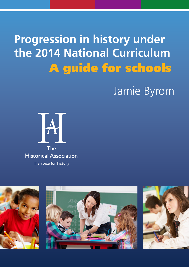# **Progression in history under the 2014 National Curriculum** A guide for schools

# Jamie Byrom



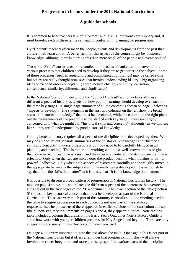# **Progression in history under the 2014 National Curriculum**

#### **A guide for schools**

It is common to hear teachers talk of "Content" and "Skills" but words are slippery and, if used loosely, each of these terms can lead to confusion in planning for progression.

By "Content" teachers often mean the people, events and developments from the past that children will learn about. A better term for this aspect of the course might be "historical knowledge" although there is more to this than mere recall of the people and events studied.

The word "Skills" causes even more confusion if used as a blanket term to cover all the various processes that children need to develop if they are to get better in the subject. Some of these processes (such as researching and communicating findings) may be called skills but others are really thought processes that involve understanding history's big organising ideas or "second order concepts". (These include change, continuity, causation, consequence, similarity, difference and significance).

In the National Curriculum document the "Subject Content" section defines **all** these different aspects of history as it sets out how pupils' learning should develop over each of the three key stages. A single page summary of all the content is shown on page 3 below as "aspects to develop". The statements in the first two columns on the left show the broad areas of "historical knowledge" that must be developed, while the column on the right picks out the requirements of the preamble at the start of each key stage. These are largely concerned with what we might call "historical skills and concepts", although - as we will see later – they are all underpinned by good historical knowledge.

Getting better at history requires all aspects of the discipline to be developed together. We may be able to set out separate summaries of the "historical knowledge" and "historical skills and concepts" in describing a course but they need to be carefully blended in all planning and teaching. This is rather like working with those well-known brands of glue that come in two tubes: one is a resin and the other is a hardener. On its own, neither one is effective. Only when the two are mixed does the product become what it claims to be  $- a$ powerful adhesive. Only when both aspects of history are carefully and thoroughly mixed in the appropriate balance is the subject discipline really being developed. It is as foolish to say that "It is the skills that matter" as it is to say that "It is the knowledge that matters".

It is possible to discern a broad pattern of progression in National Curriculum history. The table on page 4 shows this and relates the different aspects of the content to the overarching aims set out in the first pages of the 2014 document. The lower section of the table (section 5) shows the key historical concepts that must be developed as part of the National Curriculum. These are very much part of the statutory curriculum but the wording used in the table to suggest progression in each concept is not now part of the statutory requirements. The phrases used there appeared in earlier versions of the curriculum and so, like all non-statutory requirements on pages 3 and 4, they appear in italics. Note that the table includes a column that draws on the Early Years Outcomes Non-Statutory Guide to show how work with younger children prepares for Key Stage 1 and beyond. These are only suggestions and many more extracts could have been used.

On page 4, it is very important to note the text above the table. Once again this is not part of the National Curriculum but it offers a reminder that progression in history will always involve the closer integration and more precise grasp of the various parts of the discipline.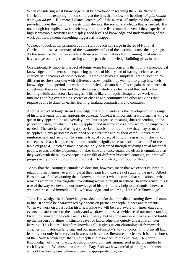When considering what knowledge must be developed in teaching the 2014 National Curriculum, it is tempting to look simply at the lists that follow the heading *"Pupils should be taught about".* But mere, isolated "coverage" of these areas of study and the exemplars provided under them will not, on its own, develop the sort of knowledge that is needed. It is not enough for pupils to work their way through the listed material even if they experience highly enjoyable activities and display good levels of knowledge and understanding of the work put before them: something bigger has to happen.

We need to look at the preambles at the start of each key stage in the 2014 National Curriculum to see a summary of the *cumulative* effect of the teaching across the key stage. As the sentence that follows each of those preambles makes clear, planning must always have an eye on longer-term learning and the part that knowledge building plays in this.

One particularly important aspect of longer-term learning concerns the pupils' chronological knowledge, both in terms of sequencing periods of history and of having a clear sense of characteristic features of those periods. If areas of study are simply taught in isolation by different teachers working with different classes, pupils may well fail to grasp how their knowledge of one period sits with their knowledge of another. Once again the sentences that sit between the preambles and the listed areas of study are clear about the need to link learning within and across key stages. This is likely to require imaginative work with timelines and big overarching stories of change and continuity and other activities that require pupils to draw on earlier learning, making comparisons and contrasts.

Another aspect of longer-term knowledge that should endure is the development of a range of historical terms in their appropriate context. Context is important: a word such as king or queen may appear to be an everyday term, but its precise meaning shifts depending on the period of history in which it is being applied, and in some cases a new word, (eg emperor) is needed. The subtleties of using appropriate historical terms and how they may or may not be applied in any period are developed only over time and by their careful introduction, reinforcement and review. The same is true, of course, of children's grasp of history's key concepts such as change, causation or historical significance (as listed in section 5 of the table on page 4). Such abstract ideas can only be learned through studying actual historical people, events and developments. It takes time and, once again, the effect is cumulative: as they work with these key concepts in a wealth of different historical contexts, children will progressively grasp the subtleties involved. The knowledge is "food for thought".

To say that the learning is cumulative does not, however, mean that we expect children to retain in their memory everything that they learn from one area of study to the next. Albert Einstein was fond of quoting the unknown humourist who observed that education is what remains when we have forgotten everything we were taught in school. In some senses this is true of the way we develop our knowledge of history. It may help to distinguish between what can be called immediate "Now Knowledge" and enduring "Hereafter Knowledge".

"Now Knowledge" is the knowledge needed to make the immediate learning flow and come to life. It should be characterised by a focus on particular people, places and moments. When we work on a particular historical issue we will be very aware of names, dates and events that are central to the enquiry and we draw on these as evidence of our understanding. Over time, much of the detail seems to slip away, but in some measure it lives on and builds up the unseen and almost instinctive layer of knowledge that quietly underpins all later learning. This is our "Hereafter Knowledge". It gives us our chronological framework, enriches our historical language and our grasp of history's key concepts. It informs all later learning, not only in history but in areas such as art or literature or science. It is the richness of the "Now Knowledge" that gives depth and resonance to the enduring "Hereafter Knowledge" of times, places, people and developments summarised in the preambles to each key stage. We must plan for both. Page 5 shows how careful planning should meet the aims of the history curriculum and ensure appropriate progression.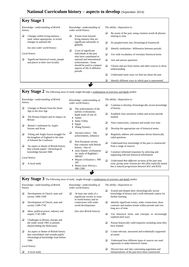#### **National Curriculum history – aspects to develop** (September 2014)



- □ The Roman Empire and its impact on Britain
- **Britain's settlement by Anglo-**Saxons and Scots
- Viking and Anglo-Saxon struggle for the kingdom of England to the time of Edward the Confessor
- $\Box$  An aspect or theme of British history that extends pupils' chronological knowledge beyond 1066

*Local history*

 $\Box$  A local study

- depth study of one of: Sumer
- Indus Valley
- Egypt
- Shang Dynasty
- □ Ancient Greece life, achievements, influence
- Non-European society that contrasts with British history. One of:
- early Islamic civilizations inc study of Baghdad c 900AD
- Mayan civilization c. 900 AD
- Benin (west Africa) c. 900-1300
- studied
- $\Box$  Note connections, contrasts and trends over time
- $\Box$  Develop the appropriate use of historical terms
- $\Box$  Regularly address and sometimes devise historically valid questions
	- Understand how knowledge of the past is constructed from a range of sources
	- $\Box$  Construct informed responses by selecting and organising relevant historical information
- *Understand that different versions of the past may exist, giving some reasons for this (Not explicitly stated but is natural progression between KS1 and KS3)*

*x* **Key Stage 3** The following areas of study taught through a combination of overview and depth studies *Knowledge / understanding of British history*  Development of Church, state and society 1066-1509 Development of Church, state and society 1509-1745 □ Ideas, political power, industry and empire 1745-1901 Challenges to Britain, Europe and the wider world 1901 to present day(including the Holocaust)  $\Box$  An aspect or theme of British history that consolidates and extends pupils' chronological knowledge from before 1066 *Local history* ■ A local study *Knowledge / understanding of wider world history*  $\Box$  At least one study of a significant society or issue in world history and its connections with wider world developments *(See also British history) The ability / disposition to:*  $\Box$  Extend and deepen their chronologically secure knowledge of history and a well-informed context for further learning  $\Box$  Identify significant events, make connections, draw contrasts and analyse trends within periods and over long arcs of time  $\Box$  Use historical terms and concepts in increasingly sophisticated ways  $\square$  Pursue historically valid enquiries including some they have framed  $\Box$  Create relevant, structured and evidentially supported accounts Understand how different types of sources are used rigorously to make historical claims  $\Box$  Discern how and why contrasting arguments and interpretations of the past have been constructed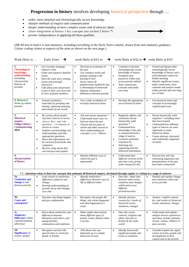### **Progression in history** involves developing historical perspective through …

- *wider, more detailed and chronologically secure knowledge*
- *sharper methods of enquiry and communication*
- *deeper understanding of more complex issues and of abstract ideas*
- *closer integration of history's key concepts (see section 5 below \*)*
- *greater independence in applying all these qualities*

*(NB All text in italics is non-statutory, including everything in the Early Years column, drawn from non-statutory guidance. Colour coding relates to aspects of the aims as shown on the next page.)*

| Work likely in                                                                                                                                  | Early Years<br>→                                                                                                                                                                                                                                                                                                                                                                                                          | work likely at KS1 to<br>$\rightarrow$                                                                                                                                                                                                                                                                   | work likely at KS2 to $\rightarrow$ work likely at KS3                                                                                                                                                                                                                                                                             |                                                                                                                                                                                                                                                                                                      |
|-------------------------------------------------------------------------------------------------------------------------------------------------|---------------------------------------------------------------------------------------------------------------------------------------------------------------------------------------------------------------------------------------------------------------------------------------------------------------------------------------------------------------------------------------------------------------------------|----------------------------------------------------------------------------------------------------------------------------------------------------------------------------------------------------------------------------------------------------------------------------------------------------------|------------------------------------------------------------------------------------------------------------------------------------------------------------------------------------------------------------------------------------------------------------------------------------------------------------------------------------|------------------------------------------------------------------------------------------------------------------------------------------------------------------------------------------------------------------------------------------------------------------------------------------------------|
| 1.<br><b>Chronological</b><br>knowledge /<br>understanding<br><i>(including)</i><br>characteristic<br>features of<br><i>periods</i> )           | Use everyday language<br>$\bullet$<br>related to time<br>Order and sequence familiar<br>$\bullet$<br>events<br>Describe main story settings,<br>$\bullet$<br>events and principal<br>characters.<br>$\bullet$<br>Talk about past and present<br>events in their own lives and<br>in lives of family members.                                                                                                              | Develop an awareness of<br>$\bullet$<br>the past<br>Use common words and<br>$\bullet$<br>phrases relating to the<br>passing of time<br>Know where all<br>$\bullet$<br>people/events studied fit into<br>a chronological framework<br>Identify similarities /<br>$\bullet$<br>differences between periods | Continue to develop<br>$\bullet$<br>chronologically secure<br>knowledge of history<br>Establish clear<br>$\bullet$<br>narratives within and<br>across periods studied<br>Note connections.<br>$\bullet$<br>contrasts and trends<br>over time                                                                                       | Extend and deepen their<br>$\bullet$<br>chronologically secure<br>knowledge of history and a<br>well-informed context for<br>further learning<br>Identify significant events,<br>$\bullet$<br>make connections, draw<br>contrasts and analyse trends<br>within periods and over long<br>arcs of time |
| 2. Historical<br>terms eg empire,<br>peasant                                                                                                    | Extend vocabulary,<br>$\bullet$<br>especially by grouping and<br>naming, exploring meaning<br>and sounds of new words.                                                                                                                                                                                                                                                                                                    | Use a wide vocabulary of<br>$\bullet$<br>everyday historical terms                                                                                                                                                                                                                                       | Develop the appropriate<br>$\bullet$<br>use of historical terms                                                                                                                                                                                                                                                                    | Use historical terms and<br>$\bullet$<br>concepts in increasingly<br>sophisticated ways                                                                                                                                                                                                              |
| 3.<br><b>Historical</b><br>enquiry -<br><b>Using evidence /</b><br>Communicating<br>ideas                                                       | Be curious about people<br>$\bullet$<br>and show interest in stories<br>Answer 'how' and 'why'<br>$\bullet$<br>questions  in response to<br>stories or events.<br>Explain own knowledge and<br>$\bullet$<br>understanding, and asks<br>appropriate questions.<br>Know that information can<br>$\bullet$<br>be retrieved from books and<br>computers<br>Record, using marks they<br>$\bullet$<br>can interpret and explain | Ask and answer questions *<br>$\bullet$<br>Understand some ways we<br>$\bullet$<br>find out about the past<br>Choose and use parts of<br>$\bullet$<br>stories and other sources to<br>show understanding (of<br>concepts in part 5 below)                                                                | Regularly address and<br>$\bullet$<br>sometimes devise<br>historically valid<br>questions *<br>Understand how<br>$\bullet$<br>knowledge of the past<br>is constructed from a<br>range of sources<br>Construct informed<br>$\bullet$<br>responses by<br>Selecting and<br>$\bullet$<br>organising relevant<br>historical information | Pursue historically valid<br>$\bullet$<br>enquiries * including some<br>they have framed<br>Understand how different<br>$\bullet$<br>types of sources are used<br>rigorously to make<br>historical claims<br>Create relevant, structured<br>$\bullet$<br>and evidentially supported<br>accounts      |
| 4.<br><b>Interpretations</b><br>of history                                                                                                      |                                                                                                                                                                                                                                                                                                                                                                                                                           | Identify different ways in<br>$\bullet$<br>which the past is<br>represented                                                                                                                                                                                                                              | Understand that<br>$\bullet$<br>different versions of the<br>past may exist, giving<br>some reasons for this                                                                                                                                                                                                                       | Discern how and why<br>$\bullet$<br>contrasting arguments and<br>interpretations of the past<br>have been constructed                                                                                                                                                                                |
| *5 - Questions relate to these key concepts that underpin all historical enquiry, developed through regular re-visiting in a range of contexts: |                                                                                                                                                                                                                                                                                                                                                                                                                           |                                                                                                                                                                                                                                                                                                          |                                                                                                                                                                                                                                                                                                                                    |                                                                                                                                                                                                                                                                                                      |
| 5a.<br><b>Continuity and</b><br>change in and<br>between periods                                                                                | Look closely at similarities,<br>$\bullet$<br>differences, patterns and<br>change<br>Develop understanding of<br>$\bullet$<br>growth, decay and changes<br>over time                                                                                                                                                                                                                                                      | Identify similarities /<br>$\bullet$<br>differences between ways of<br>life at different times                                                                                                                                                                                                           | Describe / make links<br>$\bullet$<br>between main events,<br>situations and changes<br>within and across<br>different<br>periods/societies                                                                                                                                                                                        | Identify and explain change<br>$\bullet$<br>and continuity within and<br>across periods                                                                                                                                                                                                              |
| 5b.<br><b>Cause and</b><br>consequence                                                                                                          | Question why things happen<br>$\bullet$<br>and give explanations                                                                                                                                                                                                                                                                                                                                                          | Recognise why people did<br>$\bullet$<br>things, why events happened<br>and what happened as a<br>result                                                                                                                                                                                                 | Identify and give<br>$\bullet$<br>reasons for, results of,<br>historical events,<br>situations, changes                                                                                                                                                                                                                            | Analyse / explain reasons<br>$\bullet$<br>for, and results of, historical<br>events, situations, changes                                                                                                                                                                                             |
| 5c.<br>Similarity/<br><b>Difference</b> within<br>a period/situation<br>(diversity)                                                             | Know about similarities and<br>$\bullet$<br>differences between<br>themselves and others, and<br>among families,<br>communities and traditions                                                                                                                                                                                                                                                                            | Make simple observations<br>$\bullet$<br>about different types of<br>people, events, beliefs within<br>a society                                                                                                                                                                                         | Describe social,<br>$\bullet$<br>cultural, religious and<br>ethnic diversity in<br>Britain & the wider<br>world                                                                                                                                                                                                                    | Understand and explain /<br>$\bullet$<br>analyse diverse experiences<br>and ideas, beliefs, attitudes<br>of men, women, children in<br>past societies                                                                                                                                                |
| 5d.<br><b>Significance</b> of<br>events / people                                                                                                | Recognise and describe<br>$\bullet$<br>special times or events for<br>family or friends                                                                                                                                                                                                                                                                                                                                   | Talk about who was<br>$\bullet$<br>important eg in a simple<br>historical account                                                                                                                                                                                                                        | Identify historically<br>$\bullet$<br>significant people and<br>events in situations                                                                                                                                                                                                                                               | Consider/explain the signif-<br>$\bullet$<br>icance of events, people and<br>developments in their<br>context and in the present.                                                                                                                                                                    |